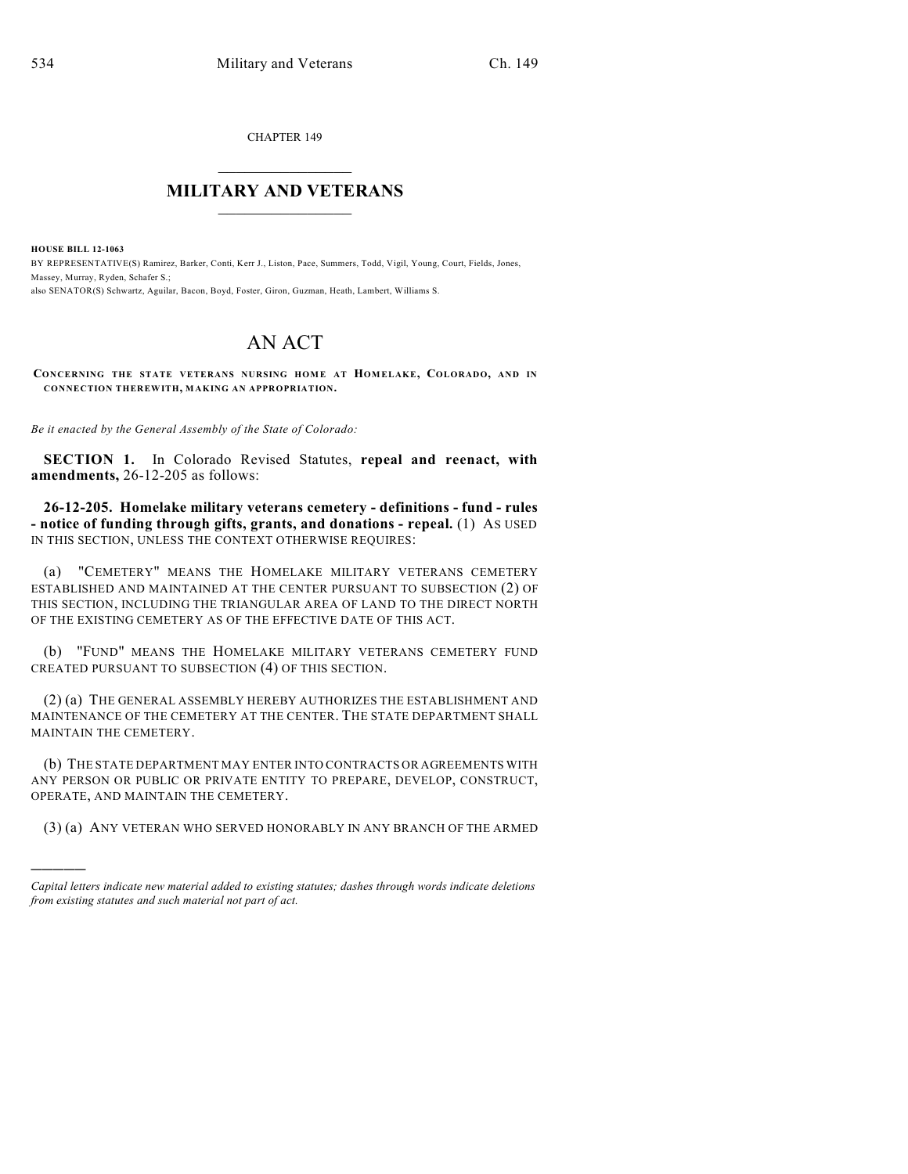CHAPTER 149

## $\overline{\phantom{a}}$  . The set of the set of the set of the set of the set of the set of the set of the set of the set of the set of the set of the set of the set of the set of the set of the set of the set of the set of the set o **MILITARY AND VETERANS**  $\frac{1}{2}$  ,  $\frac{1}{2}$  ,  $\frac{1}{2}$  ,  $\frac{1}{2}$  ,  $\frac{1}{2}$  ,  $\frac{1}{2}$  ,  $\frac{1}{2}$

**HOUSE BILL 12-1063** BY REPRESENTATIVE(S) Ramirez, Barker, Conti, Kerr J., Liston, Pace, Summers, Todd, Vigil, Young, Court, Fields, Jones, Massey, Murray, Ryden, Schafer S.; also SENATOR(S) Schwartz, Aguilar, Bacon, Boyd, Foster, Giron, Guzman, Heath, Lambert, Williams S.

## AN ACT

**CONCERNING THE STATE VETERANS NURSING HOME AT HOMELAKE, COLORADO, AND IN CONNECTION THEREWITH, MAKING AN APPROPRIATION.**

*Be it enacted by the General Assembly of the State of Colorado:*

**SECTION 1.** In Colorado Revised Statutes, **repeal and reenact, with amendments,** 26-12-205 as follows:

**26-12-205. Homelake military veterans cemetery - definitions - fund - rules - notice of funding through gifts, grants, and donations - repeal.** (1) AS USED IN THIS SECTION, UNLESS THE CONTEXT OTHERWISE REQUIRES:

(a) "CEMETERY" MEANS THE HOMELAKE MILITARY VETERANS CEMETERY ESTABLISHED AND MAINTAINED AT THE CENTER PURSUANT TO SUBSECTION (2) OF THIS SECTION, INCLUDING THE TRIANGULAR AREA OF LAND TO THE DIRECT NORTH OF THE EXISTING CEMETERY AS OF THE EFFECTIVE DATE OF THIS ACT.

(b) "FUND" MEANS THE HOMELAKE MILITARY VETERANS CEMETERY FUND CREATED PURSUANT TO SUBSECTION (4) OF THIS SECTION.

(2) (a) THE GENERAL ASSEMBLY HEREBY AUTHORIZES THE ESTABLISHMENT AND MAINTENANCE OF THE CEMETERY AT THE CENTER. THE STATE DEPARTMENT SHALL MAINTAIN THE CEMETERY.

(b) THE STATE DEPARTMENT MAY ENTER INTO CONTRACTS OR AGREEMENTS WITH ANY PERSON OR PUBLIC OR PRIVATE ENTITY TO PREPARE, DEVELOP, CONSTRUCT, OPERATE, AND MAINTAIN THE CEMETERY.

(3) (a) ANY VETERAN WHO SERVED HONORABLY IN ANY BRANCH OF THE ARMED

)))))

*Capital letters indicate new material added to existing statutes; dashes through words indicate deletions from existing statutes and such material not part of act.*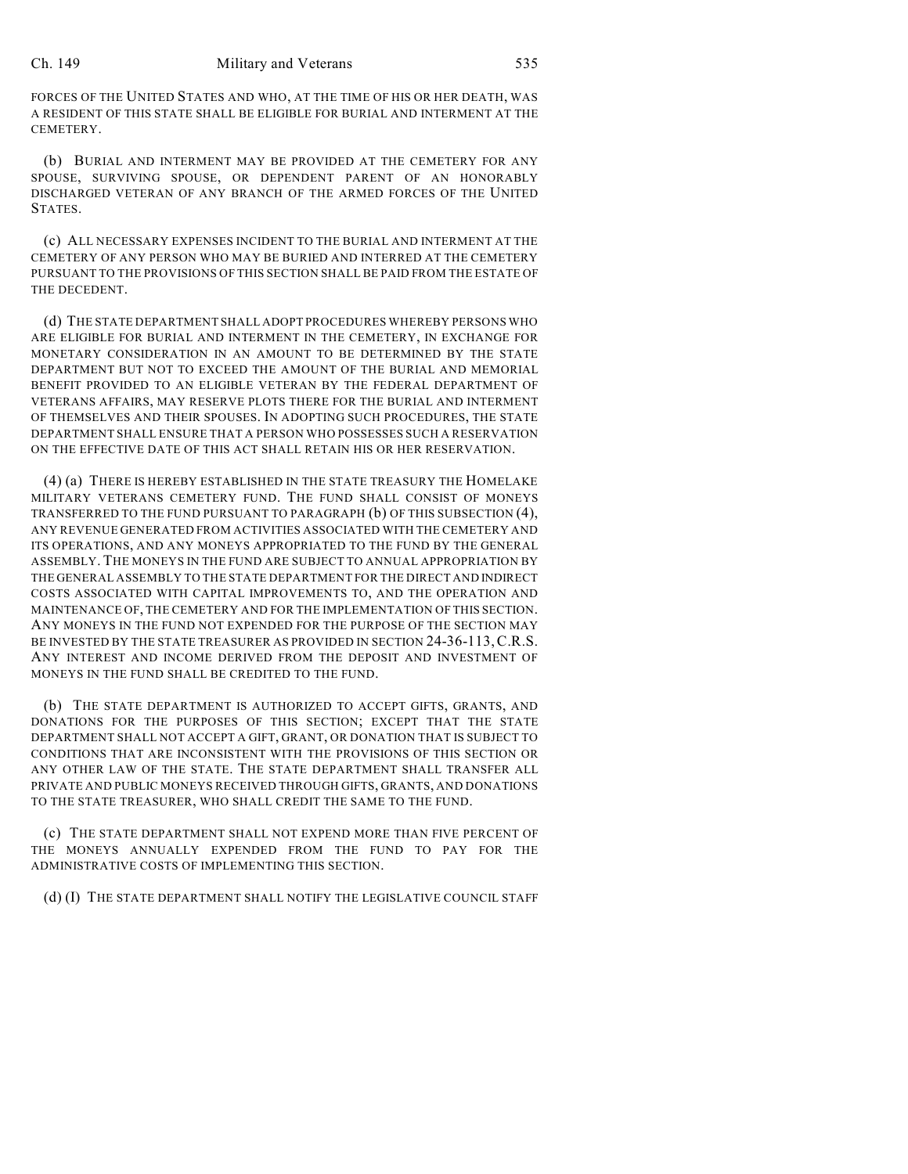FORCES OF THE UNITED STATES AND WHO, AT THE TIME OF HIS OR HER DEATH, WAS A RESIDENT OF THIS STATE SHALL BE ELIGIBLE FOR BURIAL AND INTERMENT AT THE CEMETERY.

(b) BURIAL AND INTERMENT MAY BE PROVIDED AT THE CEMETERY FOR ANY SPOUSE, SURVIVING SPOUSE, OR DEPENDENT PARENT OF AN HONORABLY DISCHARGED VETERAN OF ANY BRANCH OF THE ARMED FORCES OF THE UNITED **STATES** 

(c) ALL NECESSARY EXPENSES INCIDENT TO THE BURIAL AND INTERMENT AT THE CEMETERY OF ANY PERSON WHO MAY BE BURIED AND INTERRED AT THE CEMETERY PURSUANT TO THE PROVISIONS OF THIS SECTION SHALL BE PAID FROM THE ESTATE OF THE DECEDENT.

(d) THE STATE DEPARTMENT SHALL ADOPT PROCEDURES WHEREBY PERSONS WHO ARE ELIGIBLE FOR BURIAL AND INTERMENT IN THE CEMETERY, IN EXCHANGE FOR MONETARY CONSIDERATION IN AN AMOUNT TO BE DETERMINED BY THE STATE DEPARTMENT BUT NOT TO EXCEED THE AMOUNT OF THE BURIAL AND MEMORIAL BENEFIT PROVIDED TO AN ELIGIBLE VETERAN BY THE FEDERAL DEPARTMENT OF VETERANS AFFAIRS, MAY RESERVE PLOTS THERE FOR THE BURIAL AND INTERMENT OF THEMSELVES AND THEIR SPOUSES. IN ADOPTING SUCH PROCEDURES, THE STATE DEPARTMENT SHALL ENSURE THAT A PERSON WHO POSSESSES SUCH A RESERVATION ON THE EFFECTIVE DATE OF THIS ACT SHALL RETAIN HIS OR HER RESERVATION.

(4) (a) THERE IS HEREBY ESTABLISHED IN THE STATE TREASURY THE HOMELAKE MILITARY VETERANS CEMETERY FUND. THE FUND SHALL CONSIST OF MONEYS TRANSFERRED TO THE FUND PURSUANT TO PARAGRAPH (b) OF THIS SUBSECTION (4), ANY REVENUE GENERATED FROM ACTIVITIES ASSOCIATED WITH THE CEMETERY AND ITS OPERATIONS, AND ANY MONEYS APPROPRIATED TO THE FUND BY THE GENERAL ASSEMBLY. THE MONEYS IN THE FUND ARE SUBJECT TO ANNUAL APPROPRIATION BY THE GENERAL ASSEMBLY TO THE STATE DEPARTMENT FOR THE DIRECT AND INDIRECT COSTS ASSOCIATED WITH CAPITAL IMPROVEMENTS TO, AND THE OPERATION AND MAINTENANCE OF, THE CEMETERY AND FOR THE IMPLEMENTATION OF THIS SECTION. ANY MONEYS IN THE FUND NOT EXPENDED FOR THE PURPOSE OF THE SECTION MAY BE INVESTED BY THE STATE TREASURER AS PROVIDED IN SECTION 24-36-113,C.R.S. ANY INTEREST AND INCOME DERIVED FROM THE DEPOSIT AND INVESTMENT OF MONEYS IN THE FUND SHALL BE CREDITED TO THE FUND.

(b) THE STATE DEPARTMENT IS AUTHORIZED TO ACCEPT GIFTS, GRANTS, AND DONATIONS FOR THE PURPOSES OF THIS SECTION; EXCEPT THAT THE STATE DEPARTMENT SHALL NOT ACCEPT A GIFT, GRANT, OR DONATION THAT IS SUBJECT TO CONDITIONS THAT ARE INCONSISTENT WITH THE PROVISIONS OF THIS SECTION OR ANY OTHER LAW OF THE STATE. THE STATE DEPARTMENT SHALL TRANSFER ALL PRIVATE AND PUBLIC MONEYS RECEIVED THROUGH GIFTS, GRANTS, AND DONATIONS TO THE STATE TREASURER, WHO SHALL CREDIT THE SAME TO THE FUND.

(c) THE STATE DEPARTMENT SHALL NOT EXPEND MORE THAN FIVE PERCENT OF THE MONEYS ANNUALLY EXPENDED FROM THE FUND TO PAY FOR THE ADMINISTRATIVE COSTS OF IMPLEMENTING THIS SECTION.

(d) (I) THE STATE DEPARTMENT SHALL NOTIFY THE LEGISLATIVE COUNCIL STAFF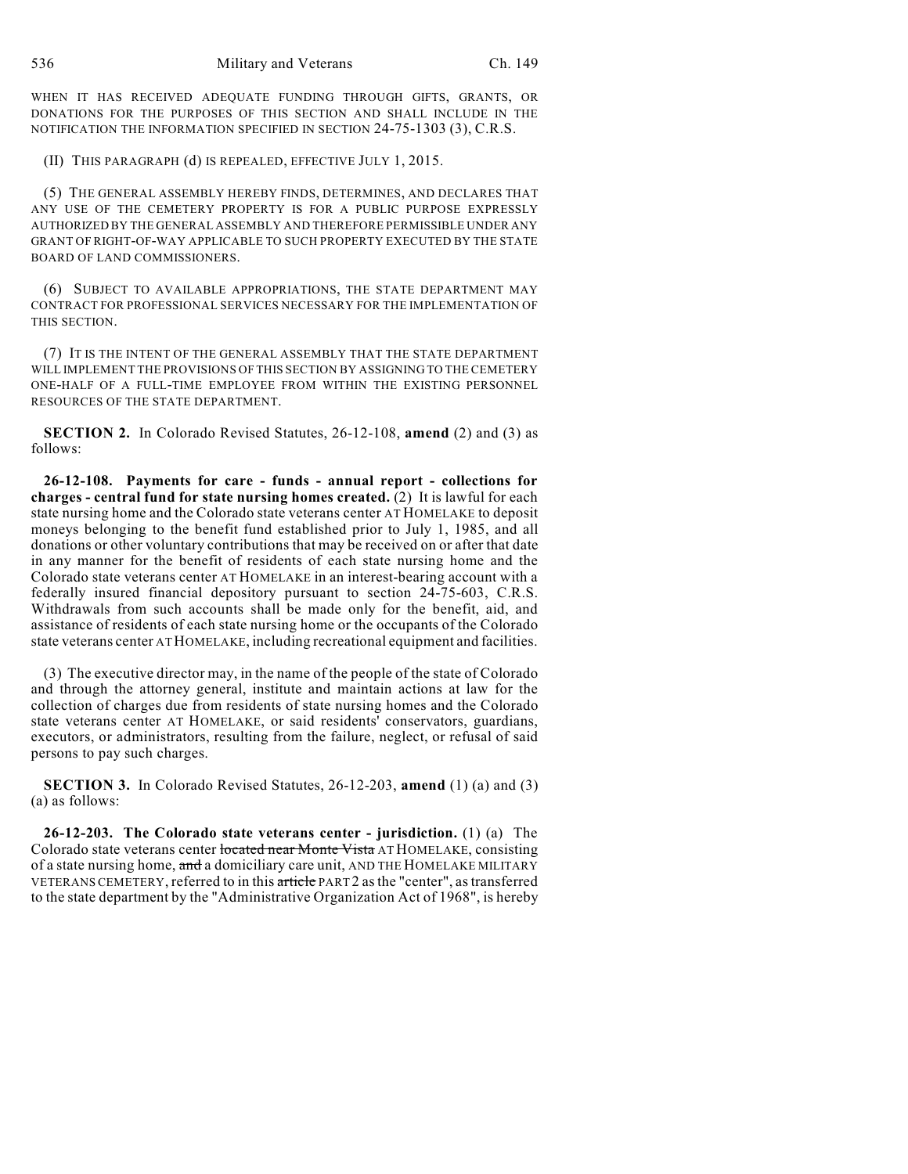WHEN IT HAS RECEIVED ADEQUATE FUNDING THROUGH GIFTS, GRANTS, OR DONATIONS FOR THE PURPOSES OF THIS SECTION AND SHALL INCLUDE IN THE NOTIFICATION THE INFORMATION SPECIFIED IN SECTION 24-75-1303 (3), C.R.S.

(II) THIS PARAGRAPH (d) IS REPEALED, EFFECTIVE JULY 1, 2015.

(5) THE GENERAL ASSEMBLY HEREBY FINDS, DETERMINES, AND DECLARES THAT ANY USE OF THE CEMETERY PROPERTY IS FOR A PUBLIC PURPOSE EXPRESSLY AUTHORIZED BY THE GENERAL ASSEMBLY AND THEREFORE PERMISSIBLE UNDER ANY GRANT OF RIGHT-OF-WAY APPLICABLE TO SUCH PROPERTY EXECUTED BY THE STATE BOARD OF LAND COMMISSIONERS.

(6) SUBJECT TO AVAILABLE APPROPRIATIONS, THE STATE DEPARTMENT MAY CONTRACT FOR PROFESSIONAL SERVICES NECESSARY FOR THE IMPLEMENTATION OF THIS SECTION.

(7) IT IS THE INTENT OF THE GENERAL ASSEMBLY THAT THE STATE DEPARTMENT WILL IMPLEMENT THE PROVISIONS OF THIS SECTION BY ASSIGNING TO THE CEMETERY ONE-HALF OF A FULL-TIME EMPLOYEE FROM WITHIN THE EXISTING PERSONNEL RESOURCES OF THE STATE DEPARTMENT.

**SECTION 2.** In Colorado Revised Statutes, 26-12-108, **amend** (2) and (3) as follows:

**26-12-108. Payments for care - funds - annual report - collections for charges - central fund for state nursing homes created.** (2) It is lawful for each state nursing home and the Colorado state veterans center AT HOMELAKE to deposit moneys belonging to the benefit fund established prior to July 1, 1985, and all donations or other voluntary contributions that may be received on or after that date in any manner for the benefit of residents of each state nursing home and the Colorado state veterans center AT HOMELAKE in an interest-bearing account with a federally insured financial depository pursuant to section 24-75-603, C.R.S. Withdrawals from such accounts shall be made only for the benefit, aid, and assistance of residents of each state nursing home or the occupants of the Colorado state veterans center ATHOMELAKE, including recreational equipment and facilities.

(3) The executive director may, in the name of the people of the state of Colorado and through the attorney general, institute and maintain actions at law for the collection of charges due from residents of state nursing homes and the Colorado state veterans center AT HOMELAKE, or said residents' conservators, guardians, executors, or administrators, resulting from the failure, neglect, or refusal of said persons to pay such charges.

**SECTION 3.** In Colorado Revised Statutes, 26-12-203, **amend** (1) (a) and (3) (a) as follows:

**26-12-203. The Colorado state veterans center - jurisdiction.** (1) (a) The Colorado state veterans center located near Monte Vista AT HOMELAKE, consisting of a state nursing home, and a domiciliary care unit, AND THE HOMELAKE MILITARY VETERANS CEMETERY, referred to in this article PART 2 as the "center", as transferred to the state department by the "Administrative Organization Act of 1968", is hereby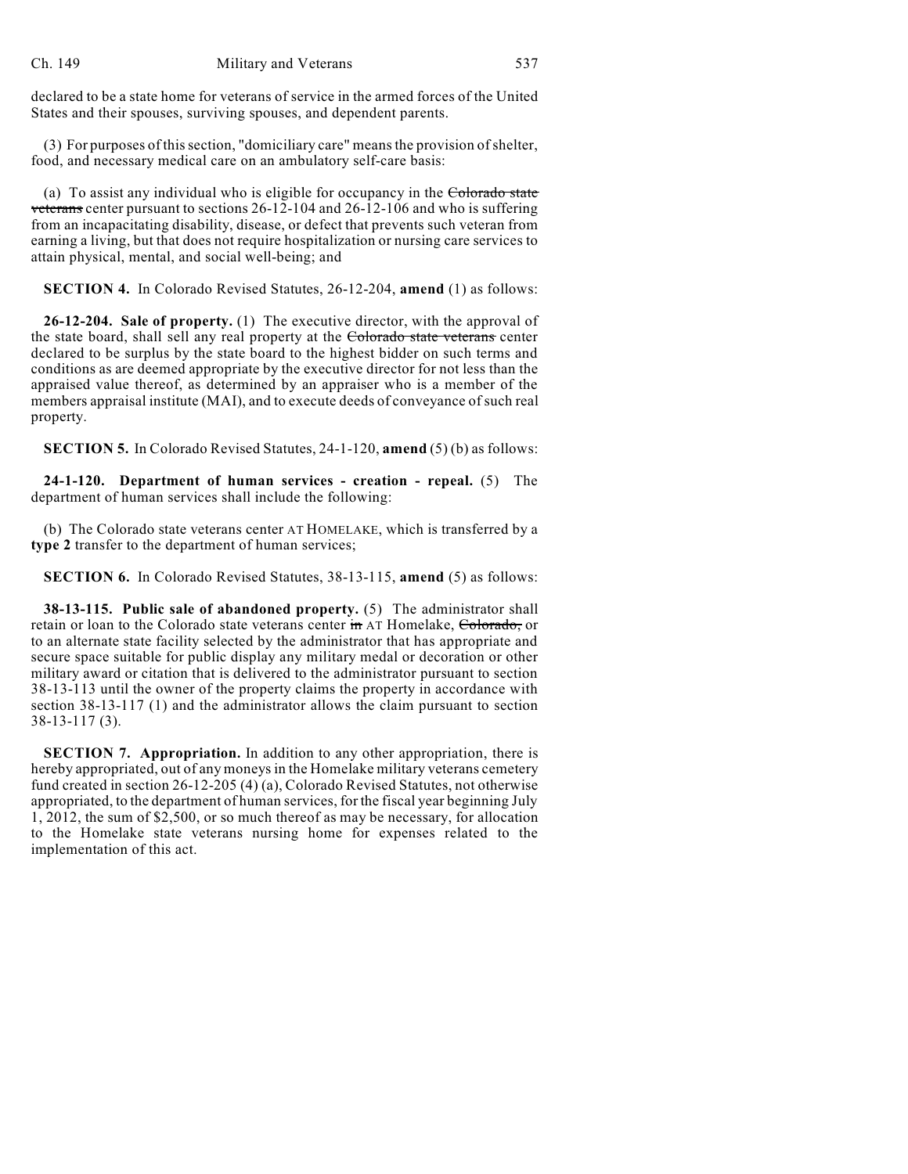declared to be a state home for veterans of service in the armed forces of the United States and their spouses, surviving spouses, and dependent parents.

(3) For purposes of this section, "domiciliary care" means the provision of shelter, food, and necessary medical care on an ambulatory self-care basis:

(a) To assist any individual who is eligible for occupancy in the Colorado state veterans center pursuant to sections 26-12-104 and 26-12-106 and who is suffering from an incapacitating disability, disease, or defect that prevents such veteran from earning a living, but that does not require hospitalization or nursing care services to attain physical, mental, and social well-being; and

**SECTION 4.** In Colorado Revised Statutes, 26-12-204, **amend** (1) as follows:

**26-12-204. Sale of property.** (1) The executive director, with the approval of the state board, shall sell any real property at the Colorado state veterans center declared to be surplus by the state board to the highest bidder on such terms and conditions as are deemed appropriate by the executive director for not less than the appraised value thereof, as determined by an appraiser who is a member of the members appraisal institute (MAI), and to execute deeds of conveyance of such real property.

**SECTION 5.** In Colorado Revised Statutes, 24-1-120, **amend** (5) (b) as follows:

**24-1-120. Department of human services - creation - repeal.** (5) The department of human services shall include the following:

(b) The Colorado state veterans center AT HOMELAKE, which is transferred by a **type 2** transfer to the department of human services;

**SECTION 6.** In Colorado Revised Statutes, 38-13-115, **amend** (5) as follows:

**38-13-115. Public sale of abandoned property.** (5) The administrator shall retain or loan to the Colorado state veterans center in AT Homelake, Colorado, or to an alternate state facility selected by the administrator that has appropriate and secure space suitable for public display any military medal or decoration or other military award or citation that is delivered to the administrator pursuant to section 38-13-113 until the owner of the property claims the property in accordance with section 38-13-117 (1) and the administrator allows the claim pursuant to section 38-13-117 (3).

**SECTION 7. Appropriation.** In addition to any other appropriation, there is hereby appropriated, out of any moneys in the Homelake military veterans cemetery fund created in section 26-12-205 (4) (a), Colorado Revised Statutes, not otherwise appropriated, to the department of human services, for the fiscal year beginning July 1, 2012, the sum of \$2,500, or so much thereof as may be necessary, for allocation to the Homelake state veterans nursing home for expenses related to the implementation of this act.